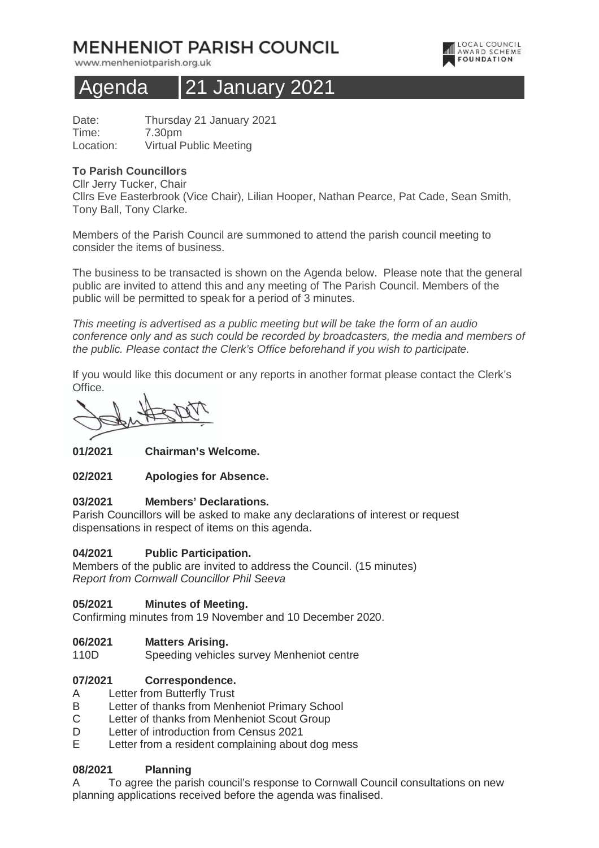# **MENHENIOT PARISH COUNCIL**

www.menheniotparish.org.uk



## Agenda 21 January 2021

Date: Thursday 21 January 2021 Time: 7.30pm Location: Virtual Public Meeting

## **To Parish Councillors**

Cllr Jerry Tucker, Chair Cllrs Eve Easterbrook (Vice Chair), Lilian Hooper, Nathan Pearce, Pat Cade, Sean Smith, Tony Ball, Tony Clarke.

Members of the Parish Council are summoned to attend the parish council meeting to consider the items of business.

The business to be transacted is shown on the Agenda below. Please note that the general public are invited to attend this and any meeting of The Parish Council. Members of the public will be permitted to speak for a period of 3 minutes.

This meeting is advertised as a public meeting but will be take the form of an audio conference only and as such could be recorded by broadcasters, the media and members of the public. Please contact the Clerk's Office beforehand if you wish to participate.

If you would like this document or any reports in another format please contact the Clerk's Office.

**01/2021 Chairman's Welcome.** 

#### **02/2021 Apologies for Absence.**

#### **03/2021 Members' Declarations.**

Parish Councillors will be asked to make any declarations of interest or request dispensations in respect of items on this agenda.

#### **04/2021 Public Participation.**

Members of the public are invited to address the Council. (15 minutes) Report from Cornwall Councillor Phil Seeva

#### **05/2021 Minutes of Meeting.**

Confirming minutes from 19 November and 10 December 2020.

#### **06/2021 Matters Arising.**

110D Speeding vehicles survey Menheniot centre

#### **07/2021 Correspondence.**

- A Letter from Butterfly Trust
- B Letter of thanks from Menheniot Primary School
- C Letter of thanks from Menheniot Scout Group
- D Letter of introduction from Census 2021
- E Letter from a resident complaining about dog mess

## **08/2021 Planning**

A To agree the parish council's response to Cornwall Council consultations on new planning applications received before the agenda was finalised.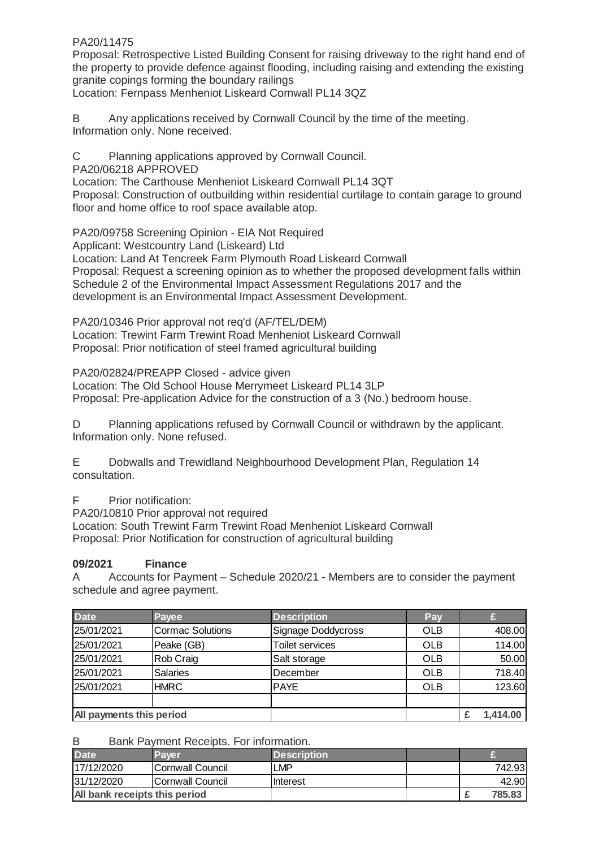## PA20/11475

Proposal: Retrospective Listed Building Consent for raising driveway to the right hand end of the property to provide defence against flooding, including raising and extending the existing granite copings forming the boundary railings

Location: Fernpass Menheniot Liskeard Cornwall PL14 3QZ

B Any applications received by Cornwall Council by the time of the meeting. Information only. None received.

C Planning applications approved by Cornwall Council.

PA20/06218 APPROVED

Location: The Carthouse Menheniot Liskeard Cornwall PL14 3QT Proposal: Construction of outbuilding within residential curtilage to contain garage to ground

floor and home office to roof space available atop.

PA20/09758 Screening Opinion - EIA Not Required

Applicant: Westcountry Land (Liskeard) Ltd

Location: Land At Tencreek Farm Plymouth Road Liskeard Cornwall Proposal: Request a screening opinion as to whether the proposed development falls within Schedule 2 of the Environmental Impact Assessment Regulations 2017 and the development is an Environmental Impact Assessment Development.

PA20/10346 Prior approval not req'd (AF/TEL/DEM) Location: Trewint Farm Trewint Road Menheniot Liskeard Cornwall Proposal: Prior notification of steel framed agricultural building

PA20/02824/PREAPP Closed - advice given

Location: The Old School House Merrymeet Liskeard PL14 3LP Proposal: Pre-application Advice for the construction of a 3 (No.) bedroom house.

D Planning applications refused by Cornwall Council or withdrawn by the applicant. Information only. None refused.

E Dobwalls and Trewidland Neighbourhood Development Plan, Regulation 14 consultation.

F Prior notification:

PA20/10810 Prior approval not required

Location: South Trewint Farm Trewint Road Menheniot Liskeard Cornwall Proposal: Prior Notification for construction of agricultural building

## **09/2021 Finance**

A Accounts for Payment – Schedule 2020/21 - Members are to consider the payment schedule and agree payment.

| <b>Date</b>              | Payee                   | <b>Description</b>     | Pay        |        |
|--------------------------|-------------------------|------------------------|------------|--------|
| 25/01/2021               | <b>Cormac Solutions</b> | Signage Doddycross     | <b>OLB</b> | 408.00 |
| 25/01/2021               | Peake (GB)              | <b>Toilet services</b> | <b>OLB</b> | 114.00 |
| 25/01/2021               | Rob Craig               | Salt storage           | <b>OLB</b> | 50.00  |
| 25/01/2021               | <b>Salaries</b>         | December               | <b>OLB</b> | 718.40 |
| 25/01/2021               | <b>HMRC</b>             | <b>PAYE</b>            | <b>OLB</b> | 123.60 |
|                          |                         |                        |            |        |
| All payments this period |                         |                        | 1,414.00   |        |

#### B Bank Payment Receipts. For information.

| <b>Date</b>                   | Paver             | <b>Description</b> |  |        |
|-------------------------------|-------------------|--------------------|--|--------|
| 17/12/2020                    | ICornwall Council | <b>LMP</b>         |  | 742.93 |
| 31/12/2020                    | ICornwall Council | Ilnterest          |  | 42.90  |
| All bank receipts this period |                   |                    |  | 785.83 |